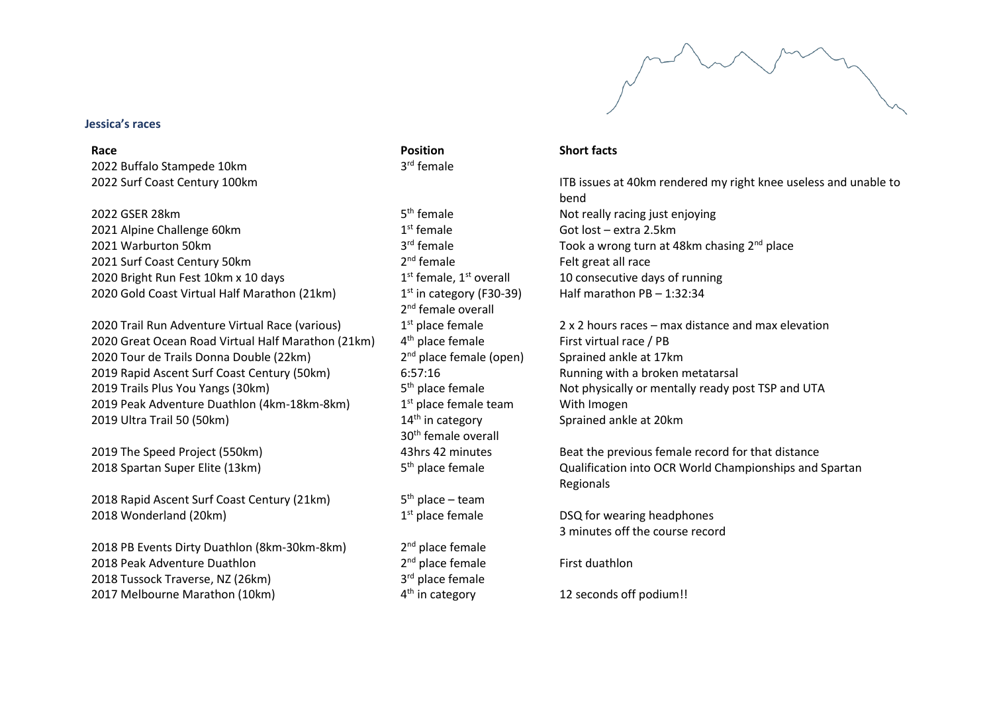

### **Jessica's races**

2022 Buffalo Stampede 10km 3

# $2022$  GSER 28km  $5<sup>th</sup>$  female

2021 Alpine Challenge 60km 1st Female 2021 Warburton 50km<br> $2021$  Warburton 50km<br> $2021$  Surf Coast Century 50km<br> $2<sup>nd</sup>$  female 2021 Surf Coast Century 50km 2020 Bright Run Fest 10km x 10 days  $1<sup>st</sup>$  female,  $1<sup>st</sup>$  overall 2020 Gold Coast Virtual Half Marathon (21km) 1

2020 Trail Run Adventure Virtual Race (various)  $1<sup>st</sup>$  place female 2020 Great Ocean Road Virtual Half Marathon (21km) 4th place female 2020 Tour de Trails Donna Double (22km) 2 2019 Rapid Ascent Surf Coast Century (50km) 6:57:16 Running with a broken metatarsal 2019 Trails Plus You Yangs  $(30km)$  5<sup>th</sup> place female 2019 Peak Adventure Duathlon (4km-18km-8km) 1 2019 Ultra Trail 50 (50km)  $14<sup>th</sup>$  in category

2018 Spartan Super Elite (13km)  $5<sup>th</sup>$  blace female

2018 Rapid Ascent Surf Coast Century (21km) 2018 Wonderland (20 $km$ ) 1st place female

2018 PB Events Dirty Duathlon (8km-30km-8km) 2 2018 Peak Adventure Duathlon 2 2018 Tussock Traverse, NZ (26km) 3 2017 Melbourne Marathon (10km) 4<sup>th</sup> in category

**Race** Short facts **Position Position Position Short facts** rd female

> $1<sup>st</sup>$  in category (F30-39) 2<sup>nd</sup> female overall  $2<sup>nd</sup>$  place female (open) Sprained ankle at 17km  $1<sup>st</sup>$  place female team With Imogen 30th female overall

 $5<sup>th</sup>$  place – team

 $2<sup>nd</sup>$  place female  $2<sup>nd</sup>$  place female First duathlon 3<sup>rd</sup> place female

2022 Surf Coast Century 100km **ITB** issues at 40km rendered my right knee useless and unable to bend Not really racing just enjoying Got lost – extra 2.5km Took a wrong turn at 48km chasing  $2^{nd}$  place Felt great all race 10 consecutive days of running Half marathon PB – 1:32:34

> $2 \times 2$  hours races – max distance and max elevation First virtual race / PB Not physically or mentally ready post TSP and UTA Sprained ankle at 20km

2019 The Speed Project (550km) 43hrs 42 minutes Beat the previous female record for that distance Qualification into OCR World Championships and Spartan Regionals

> DSQ for wearing headphones 3 minutes off the course record

12 seconds off podium!!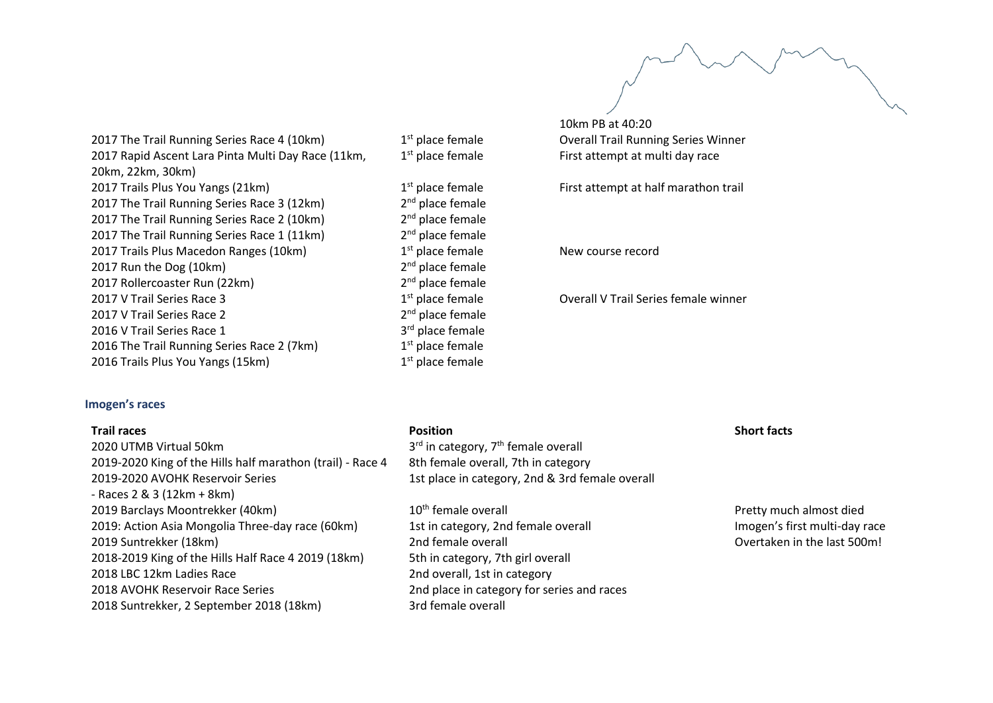10km PB at 40:20 Overall Trail Running Series Winner First attempt at multi day race

First attempt at half marathon trail

New course record

Overall V Trail Series female winner

2017 The Trail Running Series Race 4 (10km)  $1<sup>st</sup>$  place female 2017 Rapid Ascent Lara Pinta Multi Day Race (11km, 20km, 22km, 30km) 2017 Trails Plus You Yangs (21km) 1<sup>st</sup> place female 2017 The Trail Running Series Race 3 (12km) 2017 The Trail Running Series Race 2 (10km) 2017 The Trail Running Series Race 1 (11km) 2017 Trails Plus Macedon Ranges (10km)  $1<sup>st</sup>$  place female 2017 Run the Dog (10km) 2 2017 Rollercoaster Run (22km)  $2^{nd}$  place female<br>2017 V Trail Series Race 3  $1^{st}$  place female 2017 V Trail Series Race 3 2017 V Trail Series Race 2 2016 V Trail Series Race 1 2016 The Trail Running Series Race 2 (7km) 2016 Trails Plus You Yangs (15km) 1

# **Imogen's races**

| <b>Trail races</b>                                         | <b>Position</b>                                 | <b>Short facts</b> |
|------------------------------------------------------------|-------------------------------------------------|--------------------|
| 2020 UTMB Virtual 50km                                     | $3rd$ in category, $7th$ female overall         |                    |
| 2019-2020 King of the Hills half marathon (trail) - Race 4 | 8th female overall, 7th in category             |                    |
| 2019-2020 AVOHK Reservoir Series                           | 1st place in category, 2nd & 3rd female overall |                    |
| - Races $2 & 3 (12km + 8km)$                               |                                                 |                    |
| 2019 Barclays Moontrekker (40km)                           | 10 <sup>th</sup> female overall                 | Pretty muc         |
| 2019: Action Asia Mongolia Three-day race (60km)           | 1st in category, 2nd female overall             | Imogen's fi        |
| 2019 Suntrekker (18km)                                     | 2nd female overall                              | Overtaken          |
| 2018-2019 King of the Hills Half Race 4 2019 (18km)        | 5th in category, 7th girl overall               |                    |
| 2018 LBC 12km Ladies Race                                  | 2nd overall, 1st in category                    |                    |
| 2018 AVOHK Reservoir Race Series                           | 2nd place in category for series and races      |                    |
| 2018 Suntrekker, 2 September 2018 (18km)                   | 3rd female overall                              |                    |

1<sup>st</sup> place female

2<sup>nd</sup> place female

2<sup>nd</sup> place female

 $2<sup>nd</sup>$  place female

 $2<sup>nd</sup>$  place female

 $2<sup>nd</sup>$  place female

2<sup>nd</sup> place female

3<sup>rd</sup> place female

 $1<sup>st</sup>$  place female

 $1<sup>st</sup>$  place female

etty much almost died ogen's first multi-day race ertaken in the last 500m!